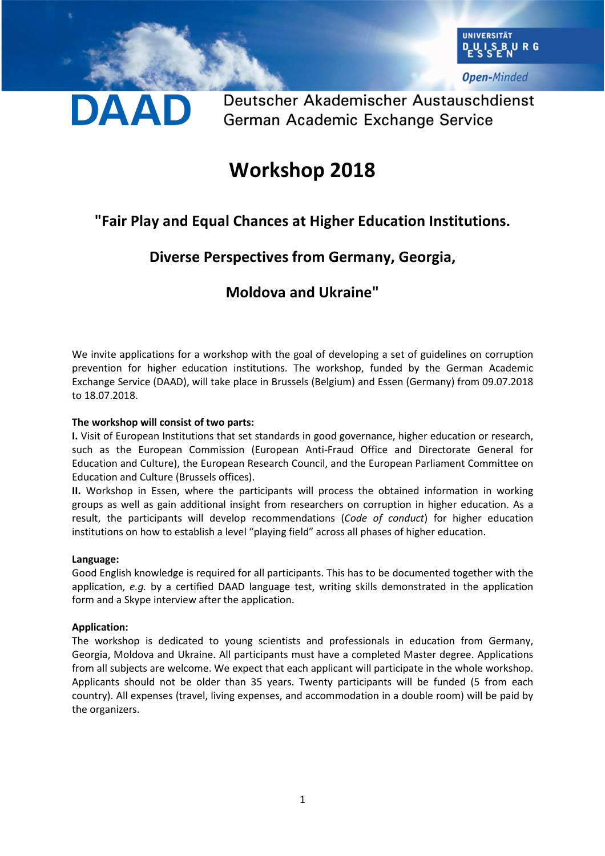

**Open-Minded** 

Deutscher Akademischer Austauschdienst German Academic Exchange Service

# **Workshop 2018**

# **"Fair Play and Equal Chances at Higher Education Institutions.**

# **Diverse Perspectives from Germany, Georgia,**

### **Moldova and Ukraine"**

We invite applications for a workshop with the goal of developing a set of guidelines on corruption prevention for higher education institutions. The workshop, funded by the German Academic Exchange Service (DAAD), will take place in Brussels (Belgium) and Essen (Germany) from 09.07.2018 to 18.07.2018.

### **The workshop will consist of two parts:**

**I.** Visit of European Institutions that set standards in good governance, higher education or research, such as the European Commission (European Anti-Fraud Office and Directorate General for Education and Culture), the European Research Council, and the European Parliament Committee on Education and Culture (Brussels offices).

**II.** Workshop in Essen, where the participants will process the obtained information in working groups as well as gain additional insight from researchers on corruption in higher education. As a result, the participants will develop recommendations (*Code of conduct*) for higher education institutions on how to establish a level "playing field" across all phases of higher education.

#### **Language:**

Good English knowledge is required for all participants. This has to be documented together with the application, *e.g.* by a certified DAAD language test, writing skills demonstrated in the application form and a Skype interview after the application.

#### **Application:**

The workshop is dedicated to young scientists and professionals in education from Germany, Georgia, Moldova and Ukraine. All participants must have a completed Master degree. Applications from all subjects are welcome. We expect that each applicant will participate in the whole workshop. Applicants should not be older than 35 years. Twenty participants will be funded (5 from each country). All expenses (travel, living expenses, and accommodation in a double room) will be paid by the organizers.